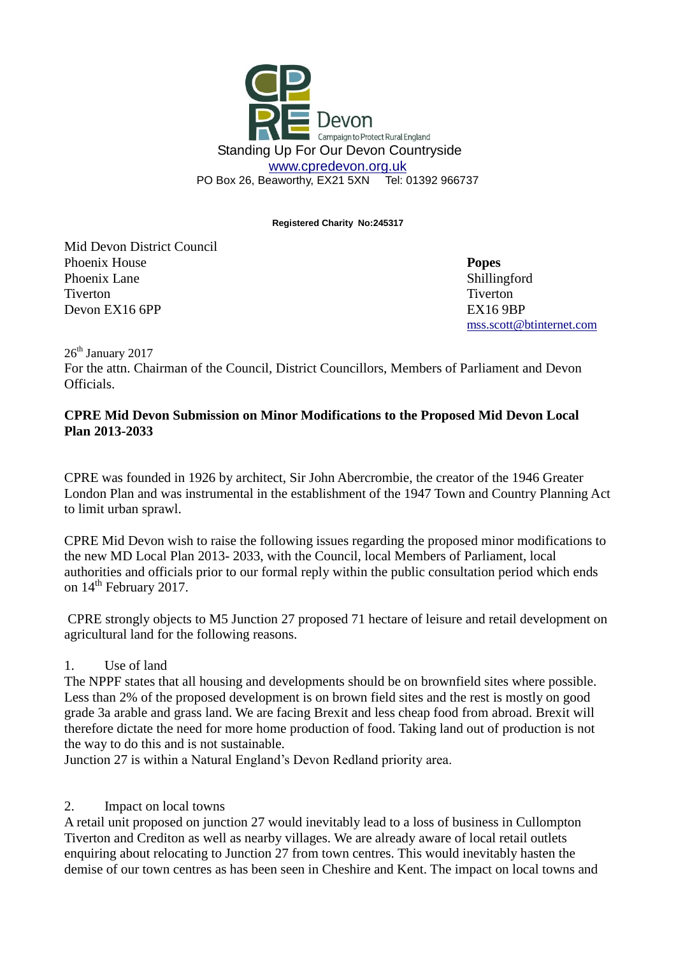

**Registered Charity No:245317**

Mid Devon District Council **Phoenix House Popes Popes** Phoenix Lane Shillingford Tiverton Tiverton Devon EX16 6PP EX16 9BP

[mss.scott@btinternet.com](mailto:mss.scott@btinternet.com)

 $26<sup>th</sup>$  January 2017

For the attn. Chairman of the Council, District Councillors, Members of Parliament and Devon Officials.

#### **CPRE Mid Devon Submission on Minor Modifications to the Proposed Mid Devon Local Plan 2013-2033**

CPRE was founded in 1926 by architect, Sir John Abercrombie, the creator of the 1946 Greater London Plan and was instrumental in the establishment of the 1947 Town and Country Planning Act to limit urban sprawl.

CPRE Mid Devon wish to raise the following issues regarding the proposed minor modifications to the new MD Local Plan 2013- 2033, with the Council, local Members of Parliament, local authorities and officials prior to our formal reply within the public consultation period which ends on  $14^{\text{th}}$  February 2017.

CPRE strongly objects to M5 Junction 27 proposed 71 hectare of leisure and retail development on agricultural land for the following reasons.

# 1. Use of land

The NPPF states that all housing and developments should be on brownfield sites where possible. Less than 2% of the proposed development is on brown field sites and the rest is mostly on good grade 3a arable and grass land. We are facing Brexit and less cheap food from abroad. Brexit will therefore dictate the need for more home production of food. Taking land out of production is not the way to do this and is not sustainable.

Junction 27 is within a Natural England's Devon Redland priority area.

# 2. Impact on local towns

A retail unit proposed on junction 27 would inevitably lead to a loss of business in Cullompton Tiverton and Crediton as well as nearby villages. We are already aware of local retail outlets enquiring about relocating to Junction 27 from town centres. This would inevitably hasten the demise of our town centres as has been seen in Cheshire and Kent. The impact on local towns and